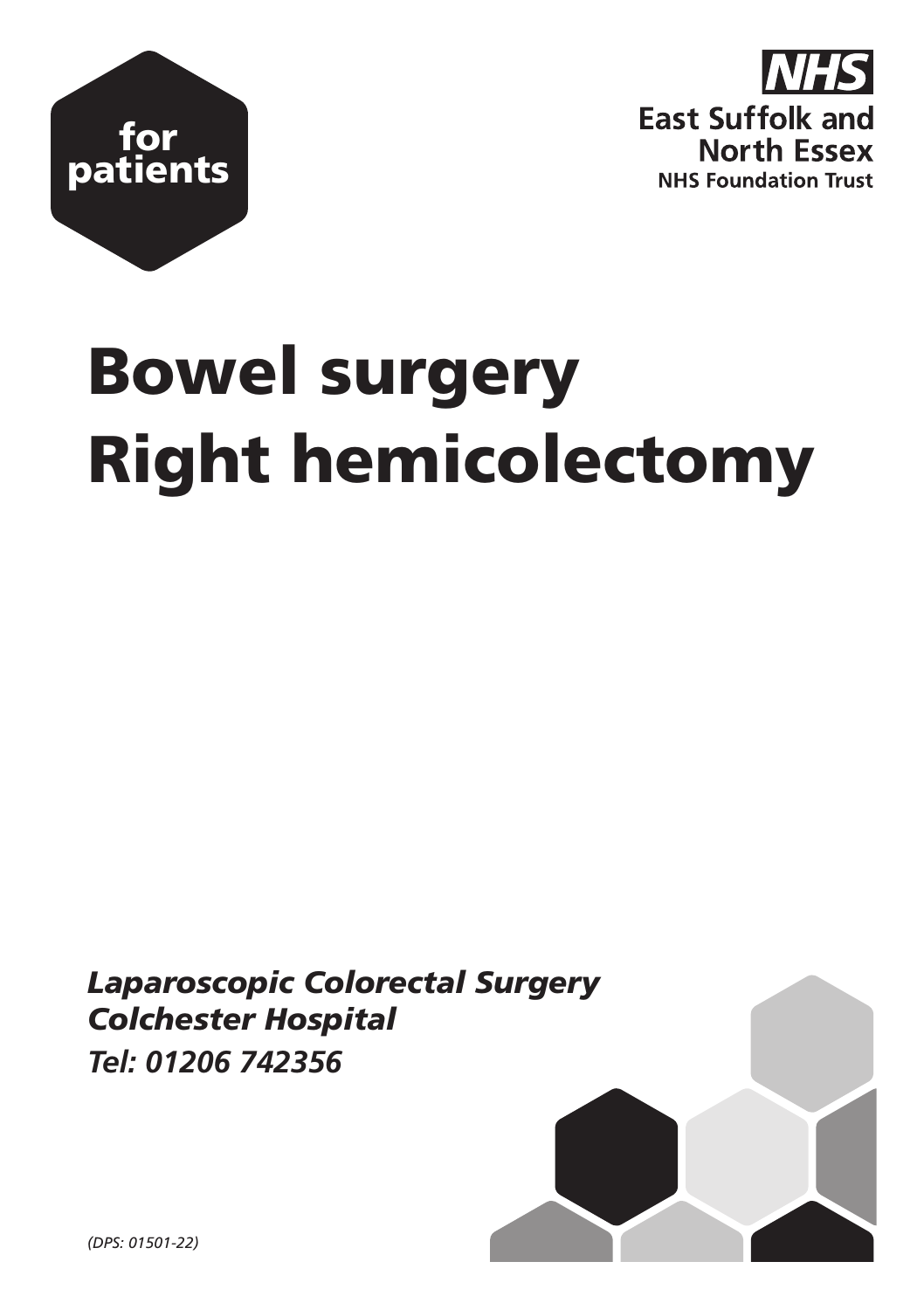



# Bowel surgery Right hemicolectomy

*Laparoscopic Colorectal Surgery Colchester Hospital Tel: 01206 742356*

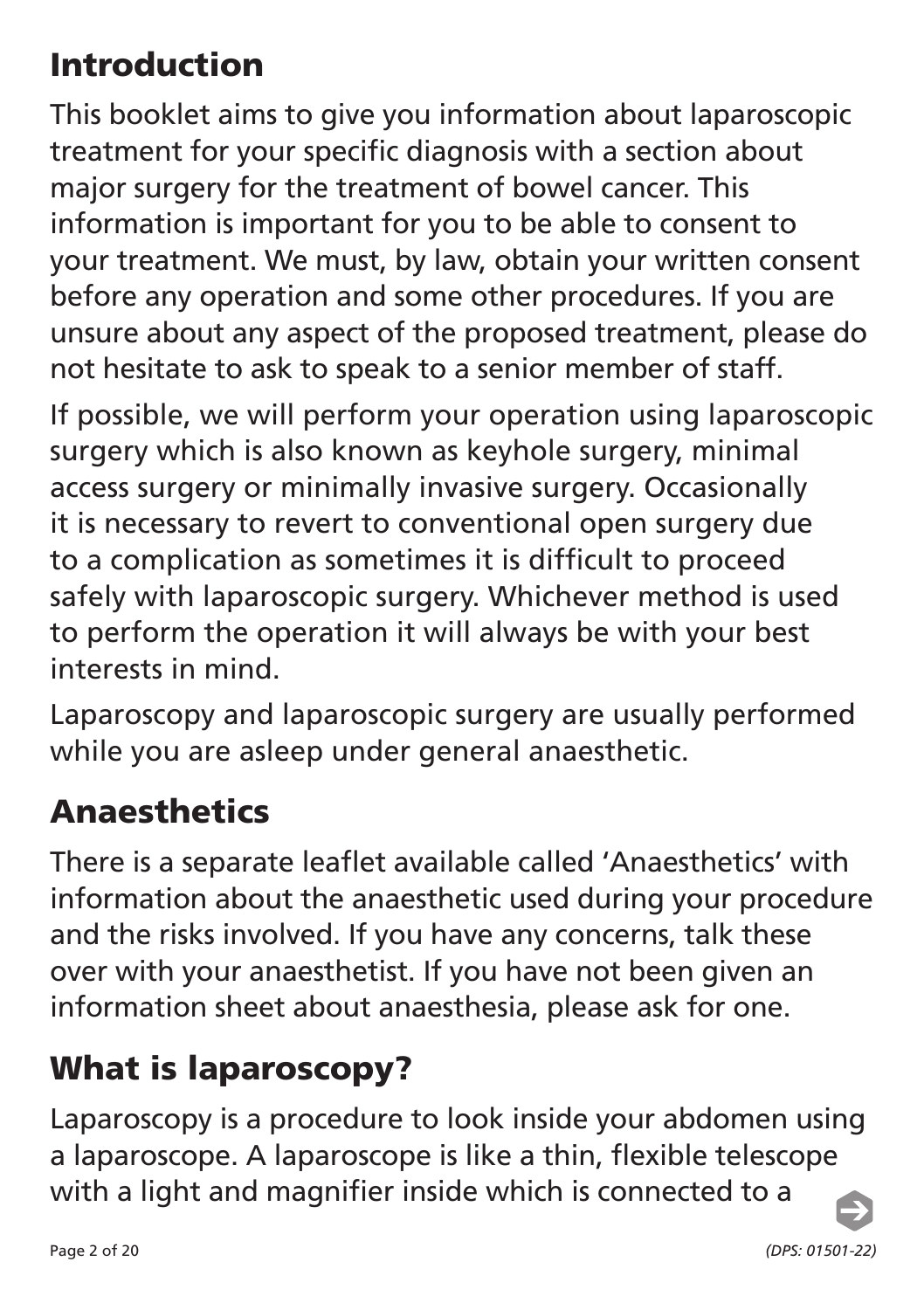## Introduction

This booklet aims to give you information about laparoscopic treatment for your specific diagnosis with a section about major surgery for the treatment of bowel cancer. This information is important for you to be able to consent to your treatment. We must, by law, obtain your written consent before any operation and some other procedures. If you are unsure about any aspect of the proposed treatment, please do not hesitate to ask to speak to a senior member of staff.

If possible, we will perform your operation using laparoscopic surgery which is also known as keyhole surgery, minimal access surgery or minimally invasive surgery. Occasionally it is necessary to revert to conventional open surgery due to a complication as sometimes it is difficult to proceed safely with laparoscopic surgery. Whichever method is used to perform the operation it will always be with your best interests in mind.

Laparoscopy and laparoscopic surgery are usually performed while you are asleep under general anaesthetic.

#### Anaesthetics

There is a separate leaflet available called 'Anaesthetics' with information about the anaesthetic used during your procedure and the risks involved. If you have any concerns, talk these over with your anaesthetist. If you have not been given an information sheet about anaesthesia, please ask for one.

#### What is laparoscopy?

Laparoscopy is a procedure to look inside your abdomen using a laparoscope. A laparoscope is like a thin, flexible telescope with a light and magnifier inside which is connected to a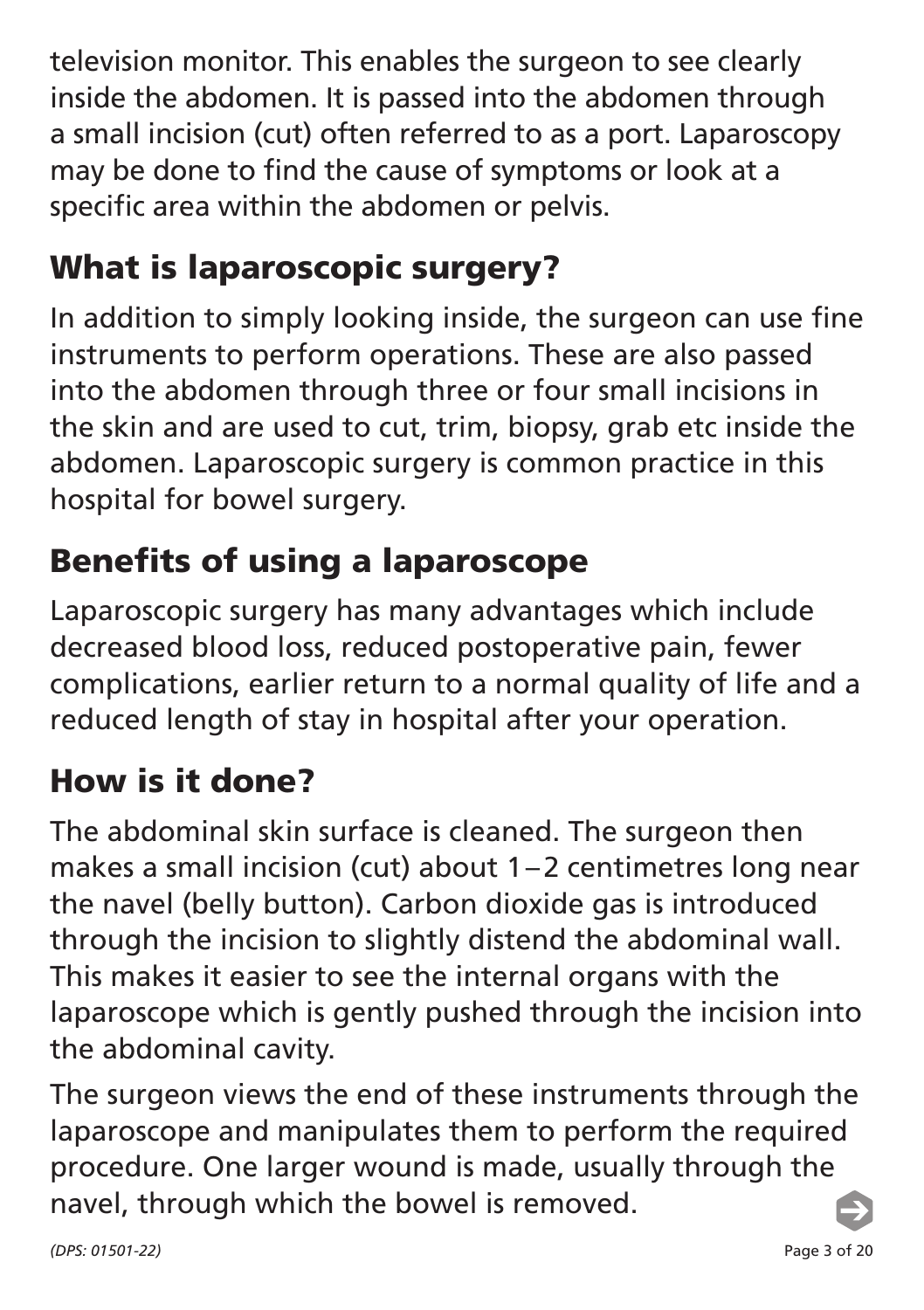television monitor. This enables the surgeon to see clearly inside the abdomen. It is passed into the abdomen through a small incision (cut) often referred to as a port. Laparoscopy may be done to find the cause of symptoms or look at a specific area within the abdomen or pelvis.

## What is laparoscopic surgery?

In addition to simply looking inside, the surgeon can use fine instruments to perform operations. These are also passed into the abdomen through three or four small incisions in the skin and are used to cut, trim, biopsy, grab etc inside the abdomen. Laparoscopic surgery is common practice in this hospital for bowel surgery.

## Benefits of using a laparoscope

Laparoscopic surgery has many advantages which include decreased blood loss, reduced postoperative pain, fewer complications, earlier return to a normal quality of life and a reduced length of stay in hospital after your operation.

## How is it done?

The abdominal skin surface is cleaned. The surgeon then makes a small incision (cut) about 1–2 centimetres long near the navel (belly button). Carbon dioxide gas is introduced through the incision to slightly distend the abdominal wall. This makes it easier to see the internal organs with the laparoscope which is gently pushed through the incision into the abdominal cavity.

The surgeon views the end of these instruments through the laparoscope and manipulates them to perform the required procedure. One larger wound is made, usually through the navel, through which the bowel is removed.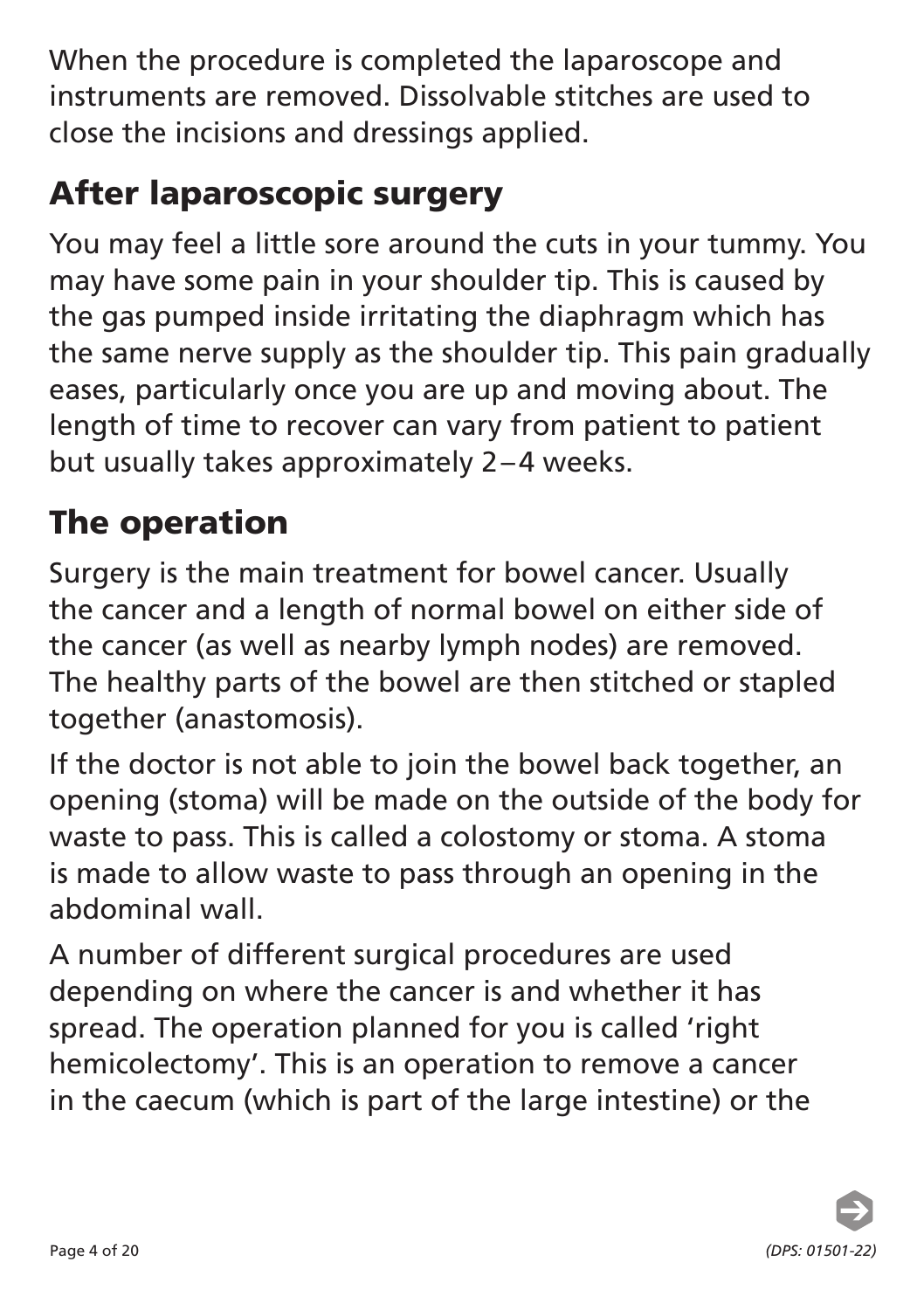When the procedure is completed the laparoscope and instruments are removed. Dissolvable stitches are used to close the incisions and dressings applied.

## After laparoscopic surgery

You may feel a little sore around the cuts in your tummy. You may have some pain in your shoulder tip. This is caused by the gas pumped inside irritating the diaphragm which has the same nerve supply as the shoulder tip. This pain gradually eases, particularly once you are up and moving about. The length of time to recover can vary from patient to patient but usually takes approximately 2–4 weeks.

#### The operation

Surgery is the main treatment for bowel cancer. Usually the cancer and a length of normal bowel on either side of the cancer (as well as nearby lymph nodes) are removed. The healthy parts of the bowel are then stitched or stapled together (anastomosis).

If the doctor is not able to join the bowel back together, an opening (stoma) will be made on the outside of the body for waste to pass. This is called a colostomy or stoma. A stoma is made to allow waste to pass through an opening in the abdominal wall.

A number of different surgical procedures are used depending on where the cancer is and whether it has spread. The operation planned for you is called 'right hemicolectomy'. This is an operation to remove a cancer in the caecum (which is part of the large intestine) or the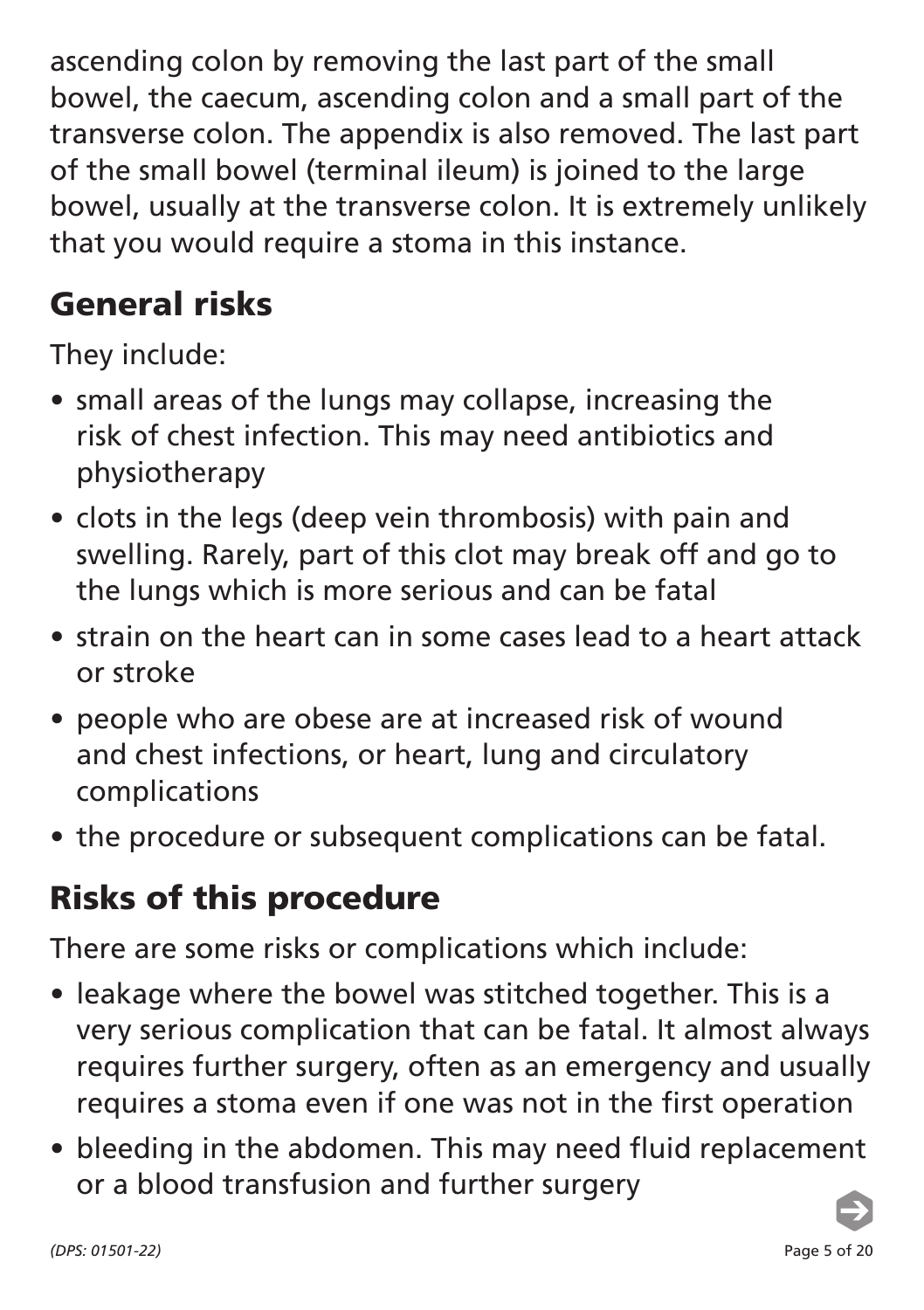ascending colon by removing the last part of the small bowel, the caecum, ascending colon and a small part of the transverse colon. The appendix is also removed. The last part of the small bowel (terminal ileum) is joined to the large bowel, usually at the transverse colon. It is extremely unlikely that you would require a stoma in this instance.

## General risks

They include:

- small areas of the lungs may collapse, increasing the risk of chest infection. This may need antibiotics and physiotherapy
- clots in the legs (deep vein thrombosis) with pain and swelling. Rarely, part of this clot may break off and go to the lungs which is more serious and can be fatal
- strain on the heart can in some cases lead to a heart attack or stroke
- people who are obese are at increased risk of wound and chest infections, or heart, lung and circulatory complications
- the procedure or subsequent complications can be fatal.

#### Risks of this procedure

There are some risks or complications which include:

- leakage where the bowel was stitched together. This is a very serious complication that can be fatal. It almost always requires further surgery, often as an emergency and usually requires a stoma even if one was not in the first operation
- bleeding in the abdomen. This may need fluid replacement or a blood transfusion and further surgery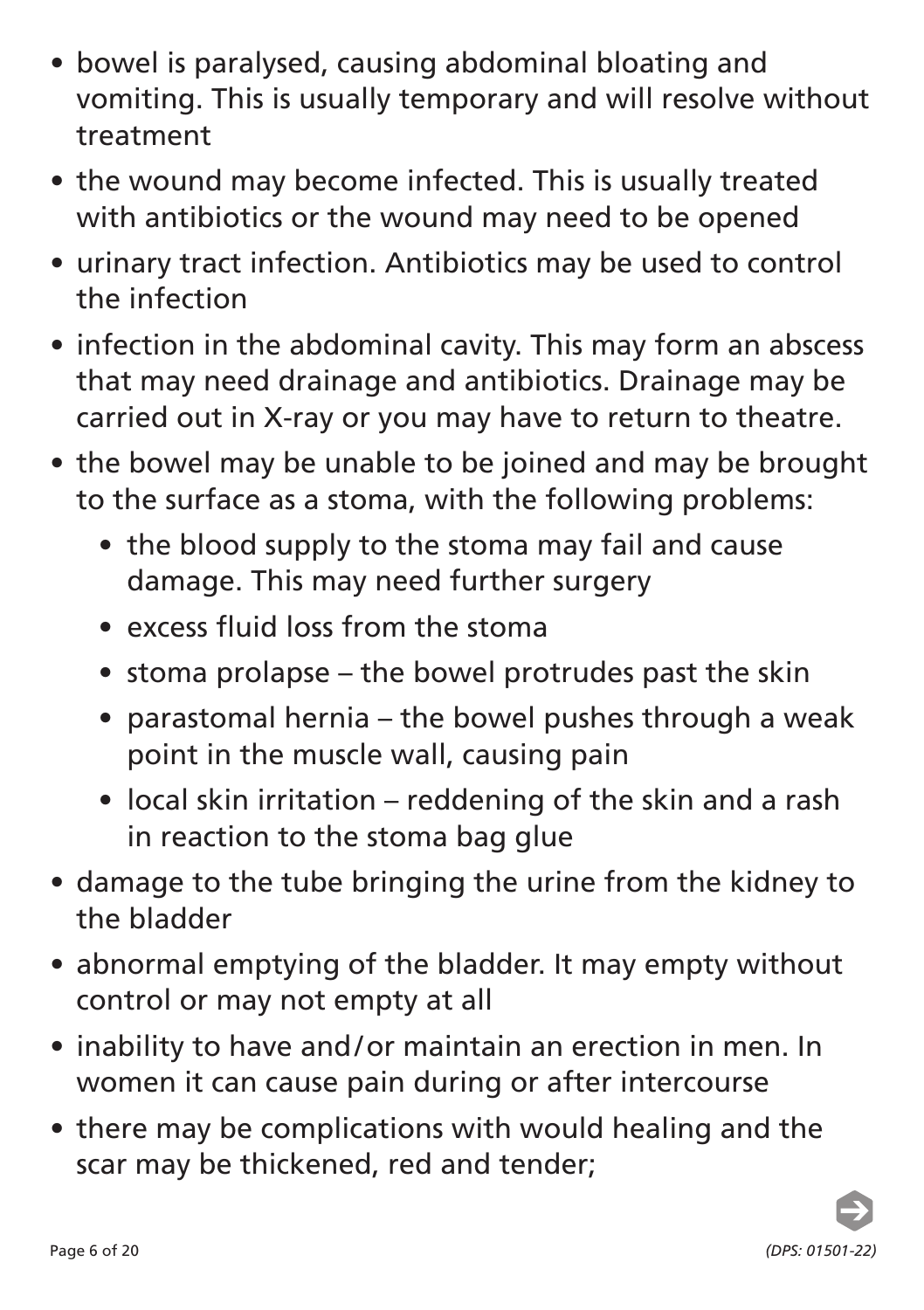- bowel is paralysed, causing abdominal bloating and vomiting. This is usually temporary and will resolve without treatment
- the wound may become infected. This is usually treated with antibiotics or the wound may need to be opened
- urinary tract infection. Antibiotics may be used to control the infection
- infection in the abdominal cavity. This may form an abscess that may need drainage and antibiotics. Drainage may be carried out in X-ray or you may have to return to theatre.
- the bowel may be unable to be joined and may be brought to the surface as a stoma, with the following problems:
	- the blood supply to the stoma may fail and cause damage. This may need further surgery
	- excess fluid loss from the stoma
	- stoma prolapse the bowel protrudes past the skin
	- parastomal hernia the bowel pushes through a weak point in the muscle wall, causing pain
	- local skin irritation reddening of the skin and a rash in reaction to the stoma bag glue
- damage to the tube bringing the urine from the kidney to the bladder
- abnormal emptying of the bladder. It may empty without control or may not empty at all
- inability to have and/or maintain an erection in men. In women it can cause pain during or after intercourse
- there may be complications with would healing and the scar may be thickened, red and tender;

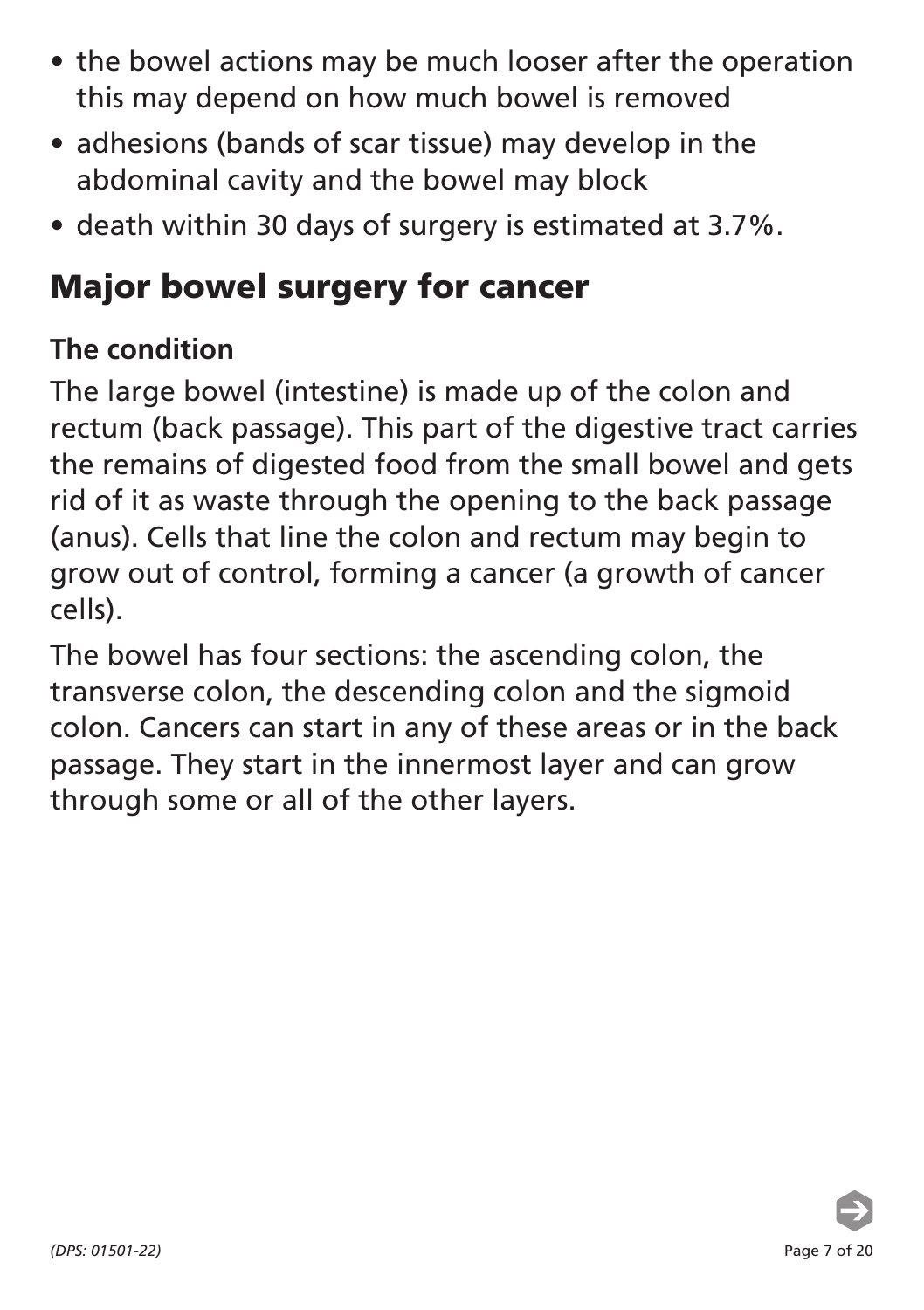- the bowel actions may be much looser after the operation this may depend on how much bowel is removed
- adhesions (bands of scar tissue) may develop in the abdominal cavity and the bowel may block
- death within 30 days of surgery is estimated at 3.7%.

#### Major bowel surgery for cancer

#### **The condition**

The large bowel (intestine) is made up of the colon and rectum (back passage). This part of the digestive tract carries the remains of digested food from the small bowel and gets rid of it as waste through the opening to the back passage (anus). Cells that line the colon and rectum may begin to grow out of control, forming a cancer (a growth of cancer cells).

The bowel has four sections: the ascending colon, the transverse colon, the descending colon and the sigmoid colon. Cancers can start in any of these areas or in the back passage. They start in the innermost layer and can grow through some or all of the other layers.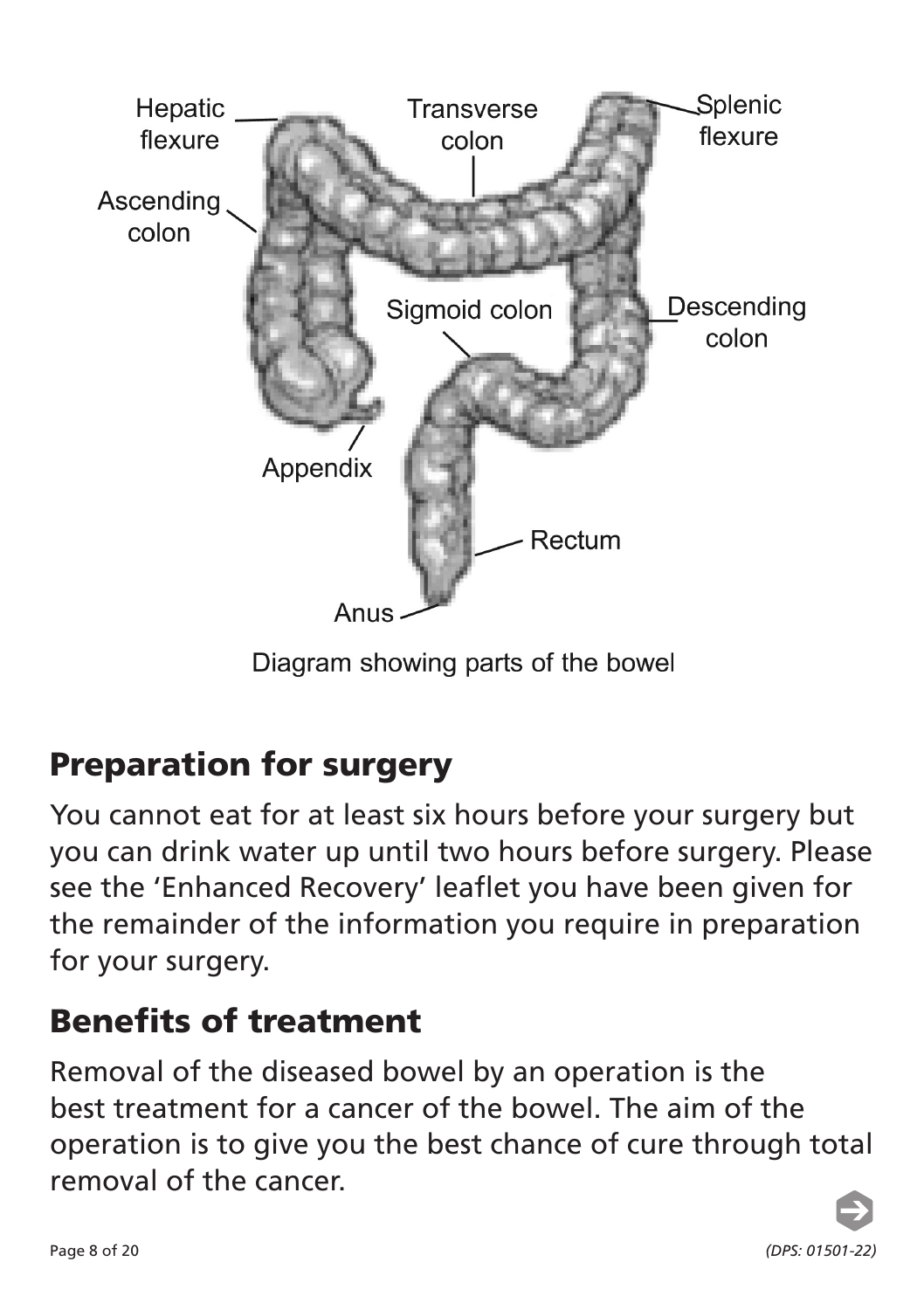

Diagram showing parts of the bowel

## Preparation for surgery

You cannot eat for at least six hours before your surgery but you can drink water up until two hours before surgery. Please see the 'Enhanced Recovery' leaflet you have been given for the remainder of the information you require in preparation for your surgery.

#### Benefits of treatment

Removal of the diseased bowel by an operation is the best treatment for a cancer of the bowel. The aim of the operation is to give you the best chance of cure through total removal of the cancer.

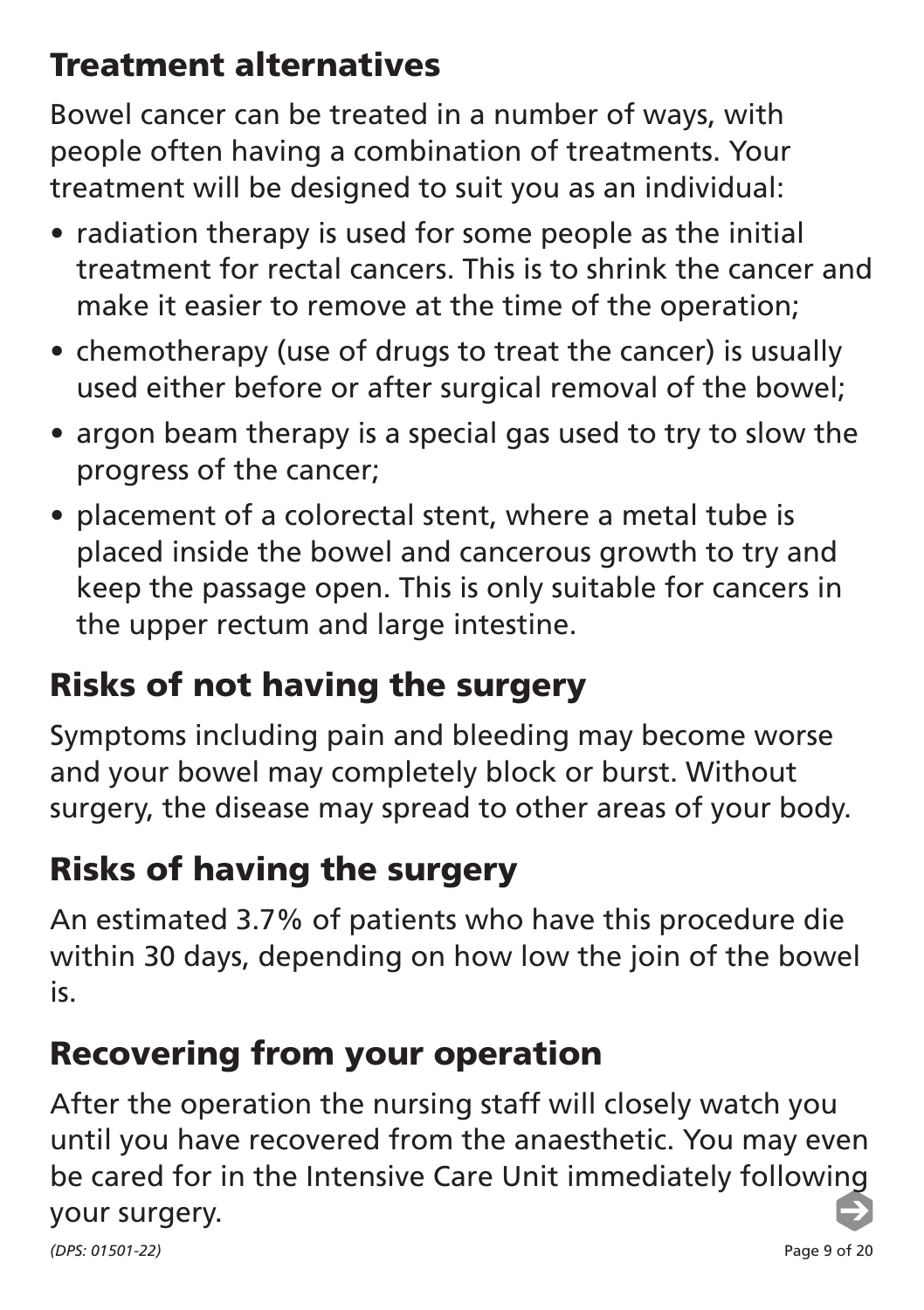#### Treatment alternatives

Bowel cancer can be treated in a number of ways, with people often having a combination of treatments. Your treatment will be designed to suit you as an individual:

- radiation therapy is used for some people as the initial treatment for rectal cancers. This is to shrink the cancer and make it easier to remove at the time of the operation;
- chemotherapy (use of drugs to treat the cancer) is usually used either before or after surgical removal of the bowel;
- argon beam therapy is a special gas used to try to slow the progress of the cancer;
- placement of a colorectal stent, where a metal tube is placed inside the bowel and cancerous growth to try and keep the passage open. This is only suitable for cancers in the upper rectum and large intestine.

## Risks of not having the surgery

Symptoms including pain and bleeding may become worse and your bowel may completely block or burst. Without surgery, the disease may spread to other areas of your body.

## Risks of having the surgery

An estimated 3.7% of patients who have this procedure die within 30 days, depending on how low the join of the bowel is.

#### Recovering from your operation

After the operation the nursing staff will closely watch you until you have recovered from the anaesthetic. You may even be cared for in the Intensive Care Unit immediately following your surgery.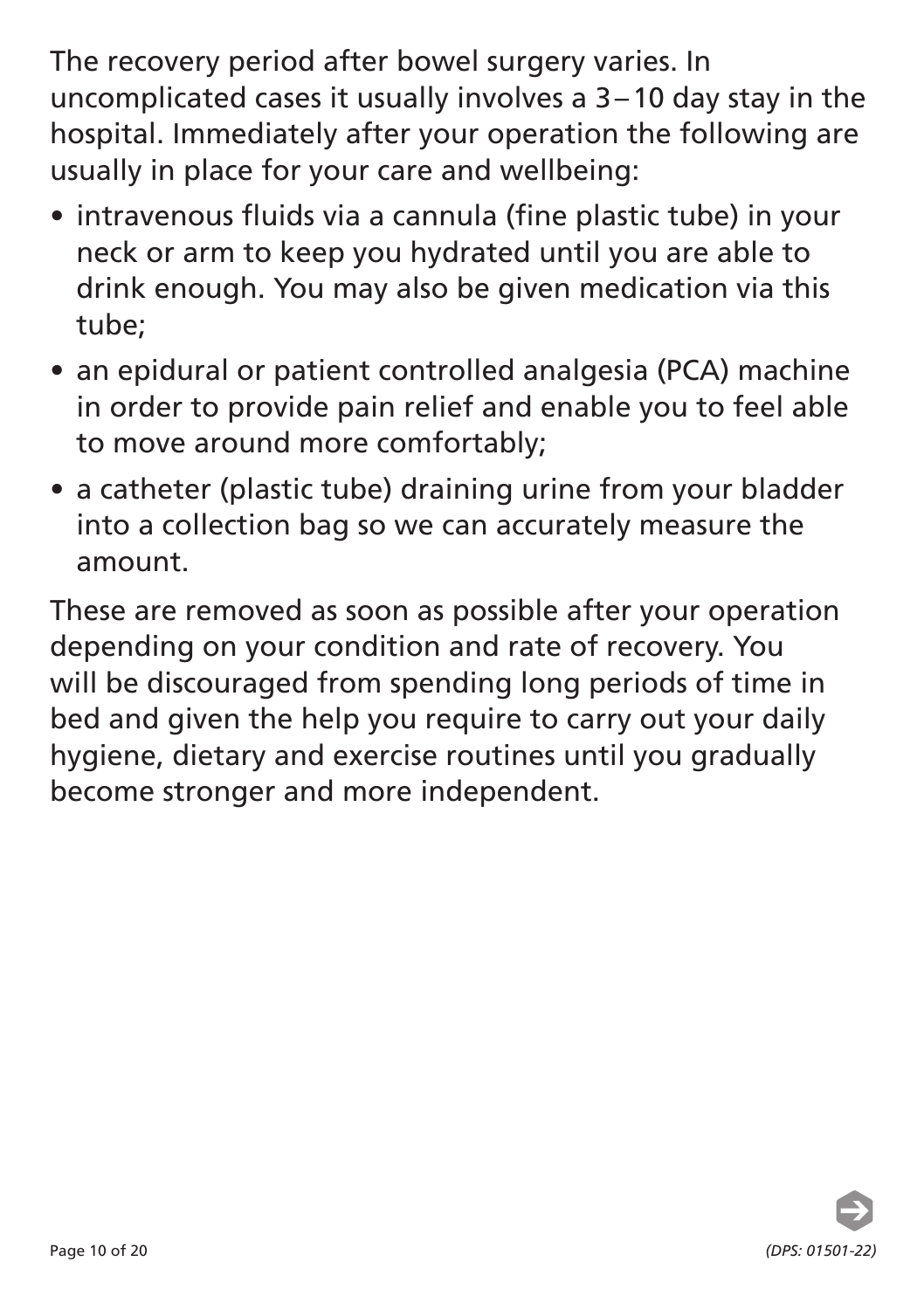The recovery period after bowel surgery varies. In uncomplicated cases it usually involves a 3–10 day stay in the hospital. Immediately after your operation the following are usually in place for your care and wellbeing:

- intravenous fluids via a cannula (fine plastic tube) in your neck or arm to keep you hydrated until you are able to drink enough. You may also be given medication via this tube;
- an epidural or patient controlled analgesia (PCA) machine in order to provide pain relief and enable you to feel able to move around more comfortably;
- a catheter (plastic tube) draining urine from your bladder into a collection bag so we can accurately measure the amount.

These are removed as soon as possible after your operation depending on your condition and rate of recovery. You will be discouraged from spending long periods of time in bed and given the help you require to carry out your daily hygiene, dietary and exercise routines until you gradually become stronger and more independent.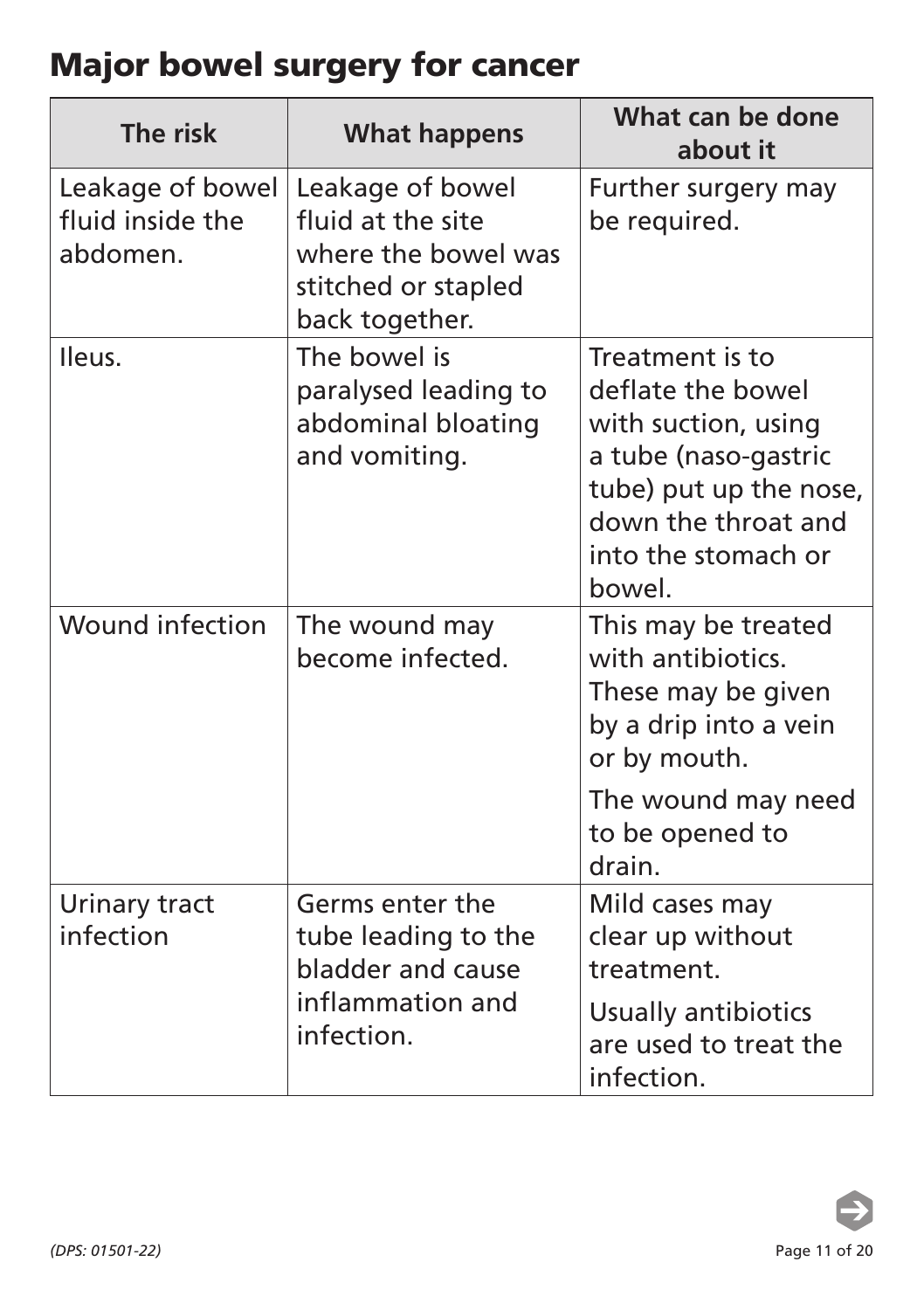## Major bowel surgery for cancer

| The risk                                         | <b>What happens</b>                                                                                   | What can be done<br>about it                                                                                                                                          |
|--------------------------------------------------|-------------------------------------------------------------------------------------------------------|-----------------------------------------------------------------------------------------------------------------------------------------------------------------------|
| Leakage of bowel<br>fluid inside the<br>abdomen. | Leakage of bowel<br>fluid at the site<br>where the bowel was<br>stitched or stapled<br>back together. | Further surgery may<br>be required.                                                                                                                                   |
| Ileus.                                           | The bowel is<br>paralysed leading to<br>abdominal bloating<br>and vomiting.                           | Treatment is to<br>deflate the bowel<br>with suction, using<br>a tube (naso-gastric<br>tube) put up the nose,<br>down the throat and<br>into the stomach or<br>bowel. |
| <b>Wound infection</b>                           | The wound may<br>become infected.                                                                     | This may be treated<br>with antibiotics.<br>These may be given<br>by a drip into a vein<br>or by mouth.                                                               |
|                                                  |                                                                                                       | The wound may need<br>to be opened to<br>drain.                                                                                                                       |
| Urinary tract<br>infection                       | Germs enter the<br>tube leading to the<br>bladder and cause<br>inflammation and<br>infection.         | Mild cases may<br>clear up without<br>treatment.<br>Usually antibiotics<br>are used to treat the<br>infection.                                                        |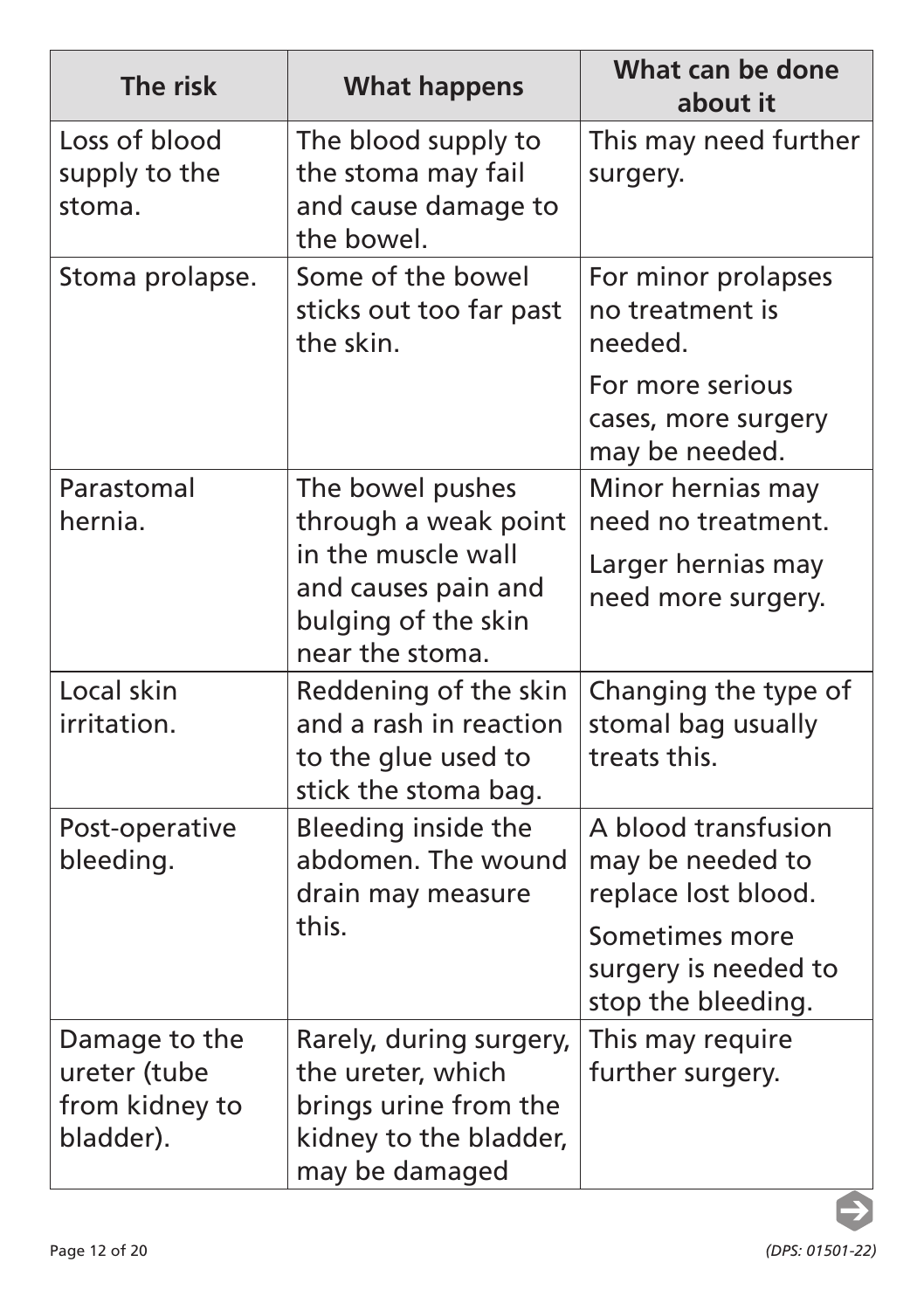| The risk                                                     | <b>What happens</b>                                                                                                             | What can be done<br>about it                                                                                                   |
|--------------------------------------------------------------|---------------------------------------------------------------------------------------------------------------------------------|--------------------------------------------------------------------------------------------------------------------------------|
| Loss of blood<br>supply to the<br>stoma.                     | The blood supply to<br>the stoma may fail<br>and cause damage to<br>the bowel.                                                  | This may need further<br>surgery.                                                                                              |
| Stoma prolapse.                                              | Some of the bowel<br>sticks out too far past<br>the skin.                                                                       | For minor prolapses<br>no treatment is<br>needed.<br>For more serious<br>cases, more surgery                                   |
| Parastomal<br>hernia.                                        | The bowel pushes<br>through a weak point<br>in the muscle wall<br>and causes pain and<br>bulging of the skin<br>near the stoma. | may be needed.<br>Minor hernias may<br>need no treatment.<br>Larger hernias may<br>need more surgery.                          |
| Local skin<br>irritation.                                    | Reddening of the skin<br>and a rash in reaction<br>to the glue used to<br>stick the stoma bag.                                  | Changing the type of<br>stomal bag usually<br>treats this.                                                                     |
| Post-operative<br>bleeding.                                  | Bleeding inside the<br>abdomen. The wound<br>drain may measure<br>this.                                                         | A blood transfusion<br>may be needed to<br>replace lost blood.<br>Sometimes more<br>surgery is needed to<br>stop the bleeding. |
| Damage to the<br>ureter (tube<br>from kidney to<br>bladder). | Rarely, during surgery,<br>the ureter, which<br>brings urine from the<br>kidney to the bladder,<br>may be damaged               | This may require<br>further surgery.                                                                                           |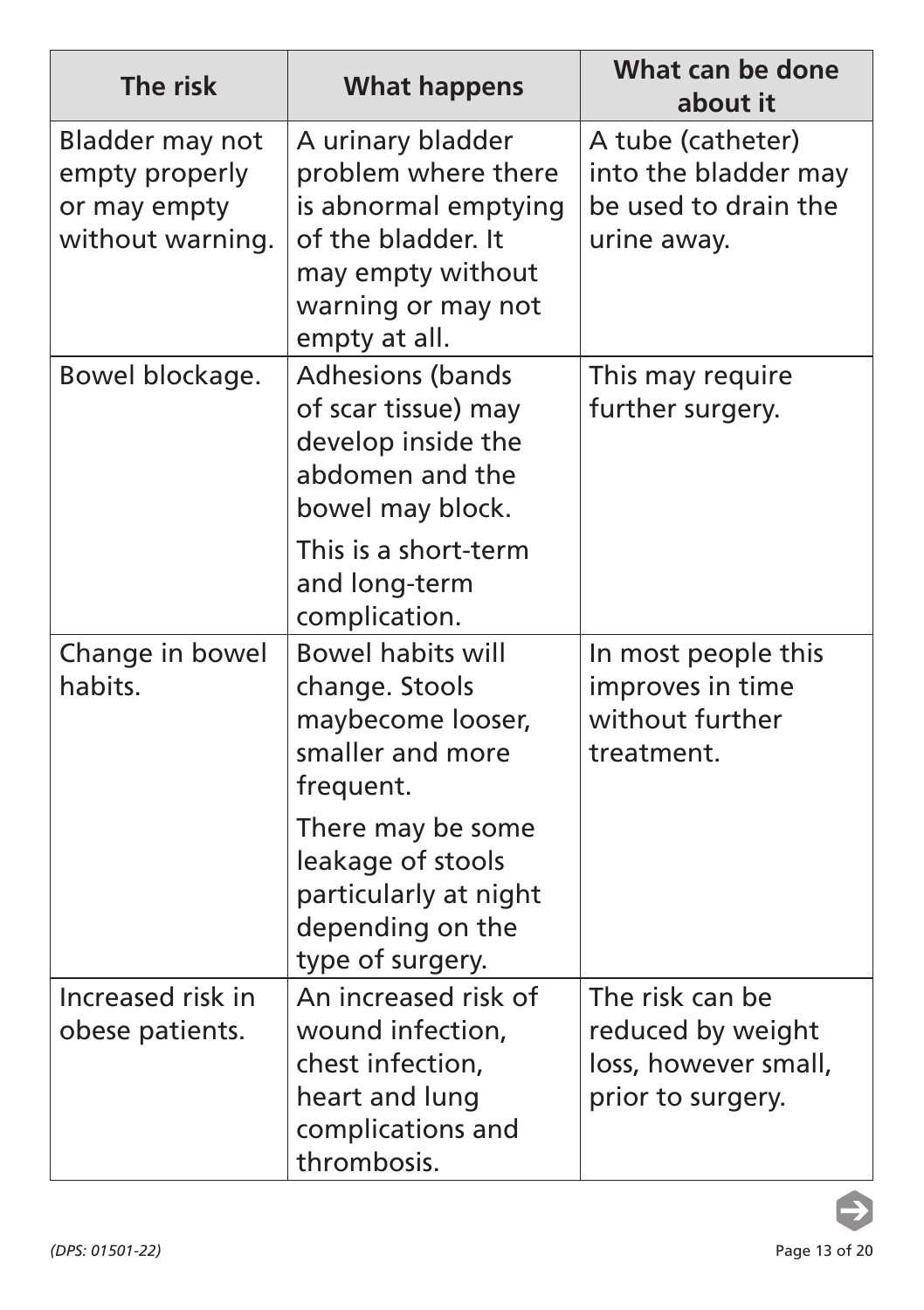| The risk                                                              | <b>What happens</b>                                                                                                                                | What can be done<br>about it                                                      |
|-----------------------------------------------------------------------|----------------------------------------------------------------------------------------------------------------------------------------------------|-----------------------------------------------------------------------------------|
| Bladder may not<br>empty properly<br>or may empty<br>without warning. | A urinary bladder<br>problem where there<br>is abnormal emptying<br>of the bladder. It<br>may empty without<br>warning or may not<br>empty at all. | A tube (catheter)<br>into the bladder may<br>be used to drain the<br>urine away.  |
| Bowel blockage.                                                       | <b>Adhesions (bands</b><br>of scar tissue) may<br>develop inside the<br>abdomen and the<br>bowel may block.                                        | This may require<br>further surgery.                                              |
|                                                                       | This is a short-term<br>and long-term<br>complication.                                                                                             |                                                                                   |
| Change in bowel<br>habits.                                            | <b>Bowel habits will</b><br>change. Stools<br>maybecome looser,<br>smaller and more<br>frequent.                                                   | In most people this<br>improves in time<br>without further<br>treatment.          |
|                                                                       | There may be some<br>leakage of stools<br>particularly at night<br>depending on the<br>type of surgery.                                            |                                                                                   |
| Increased risk in<br>obese patients.                                  | An increased risk of<br>wound infection,<br>chest infection,<br>heart and lung<br>complications and<br>thrombosis.                                 | The risk can be<br>reduced by weight<br>loss, however small,<br>prior to surgery. |

 $\ddot{\bullet}$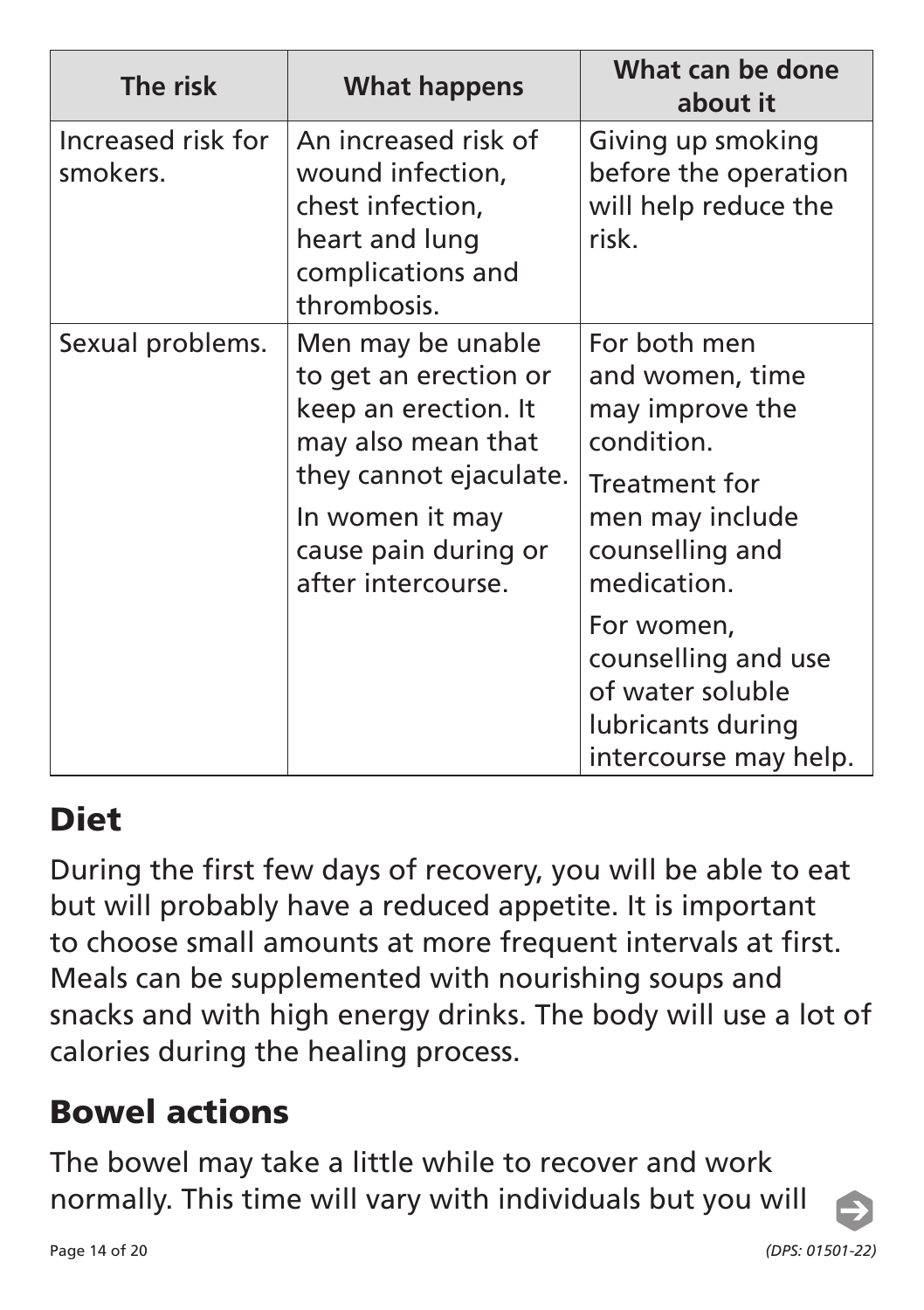| The risk                       | What happens                                                                                                                                                                        | What can be done<br>about it                                                                                                           |
|--------------------------------|-------------------------------------------------------------------------------------------------------------------------------------------------------------------------------------|----------------------------------------------------------------------------------------------------------------------------------------|
| Increased risk for<br>smokers. | An increased risk of<br>wound infection,<br>chest infection,<br>heart and lung<br>complications and<br>thrombosis.                                                                  | Giving up smoking<br>before the operation<br>will help reduce the<br>risk.                                                             |
| Sexual problems.               | Men may be unable<br>to get an erection or<br>keep an erection. It<br>may also mean that<br>they cannot ejaculate.<br>In women it may<br>cause pain during or<br>after intercourse. | For both men<br>and women, time<br>may improve the<br>condition.<br>Treatment for<br>men may include<br>counselling and<br>medication. |
|                                |                                                                                                                                                                                     | For women,<br>counselling and use<br>of water soluble<br>lubricants during<br>intercourse may help.                                    |

## **Diet**

During the first few days of recovery, you will be able to eat but will probably have a reduced appetite. It is important to choose small amounts at more frequent intervals at first. Meals can be supplemented with nourishing soups and snacks and with high energy drinks. The body will use a lot of calories during the healing process.

## Bowel actions

The bowel may take a little while to recover and work normally. This time will vary with individuals but you will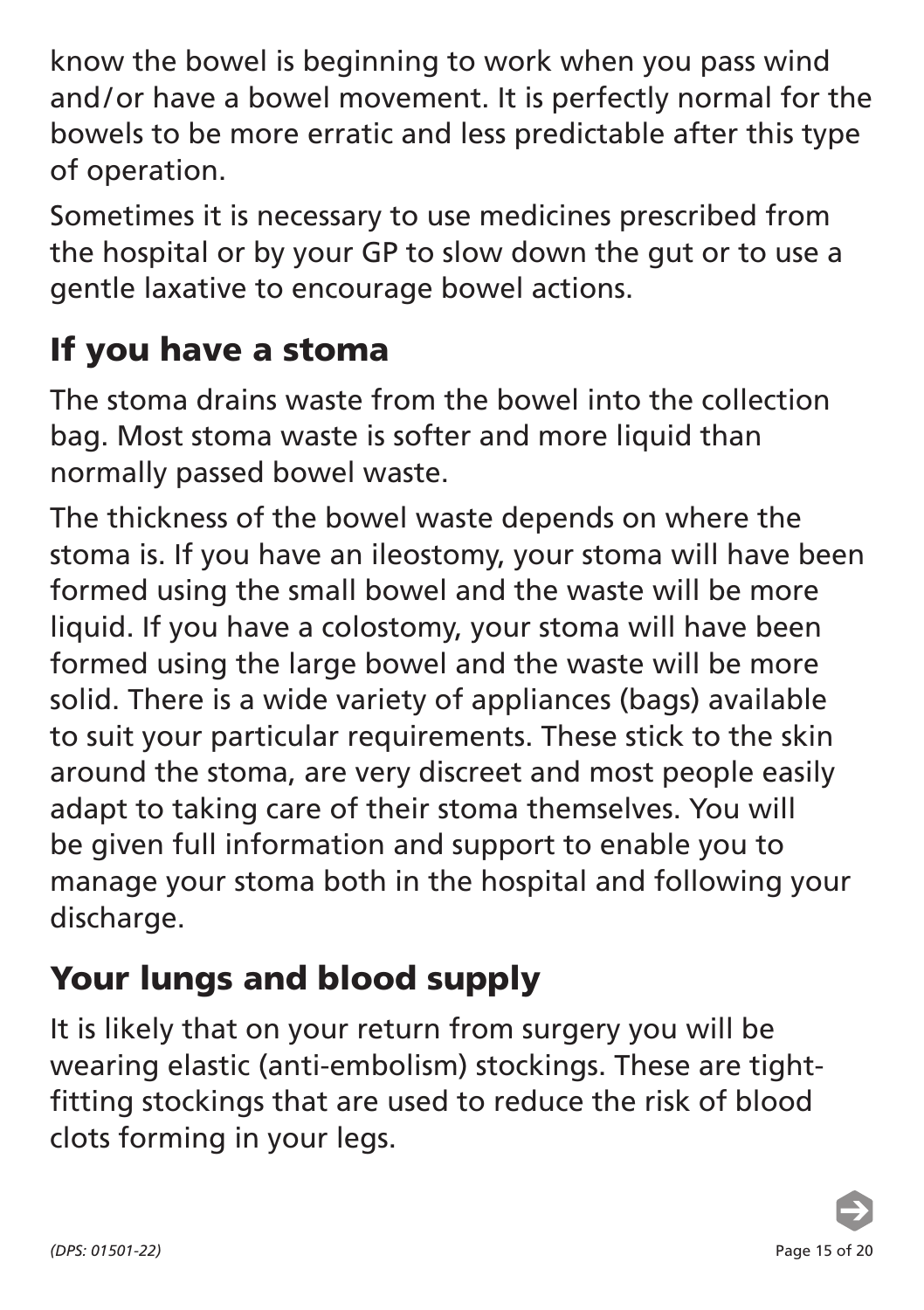know the bowel is beginning to work when you pass wind and/or have a bowel movement. It is perfectly normal for the bowels to be more erratic and less predictable after this type of operation.

Sometimes it is necessary to use medicines prescribed from the hospital or by your GP to slow down the gut or to use a gentle laxative to encourage bowel actions.

## If you have a stoma

The stoma drains waste from the bowel into the collection bag. Most stoma waste is softer and more liquid than normally passed bowel waste.

The thickness of the bowel waste depends on where the stoma is. If you have an ileostomy, your stoma will have been formed using the small bowel and the waste will be more liquid. If you have a colostomy, your stoma will have been formed using the large bowel and the waste will be more solid. There is a wide variety of appliances (bags) available to suit your particular requirements. These stick to the skin around the stoma, are very discreet and most people easily adapt to taking care of their stoma themselves. You will be given full information and support to enable you to manage your stoma both in the hospital and following your discharge.

## Your lungs and blood supply

It is likely that on your return from surgery you will be wearing elastic (anti-embolism) stockings. These are tightfitting stockings that are used to reduce the risk of blood clots forming in your legs.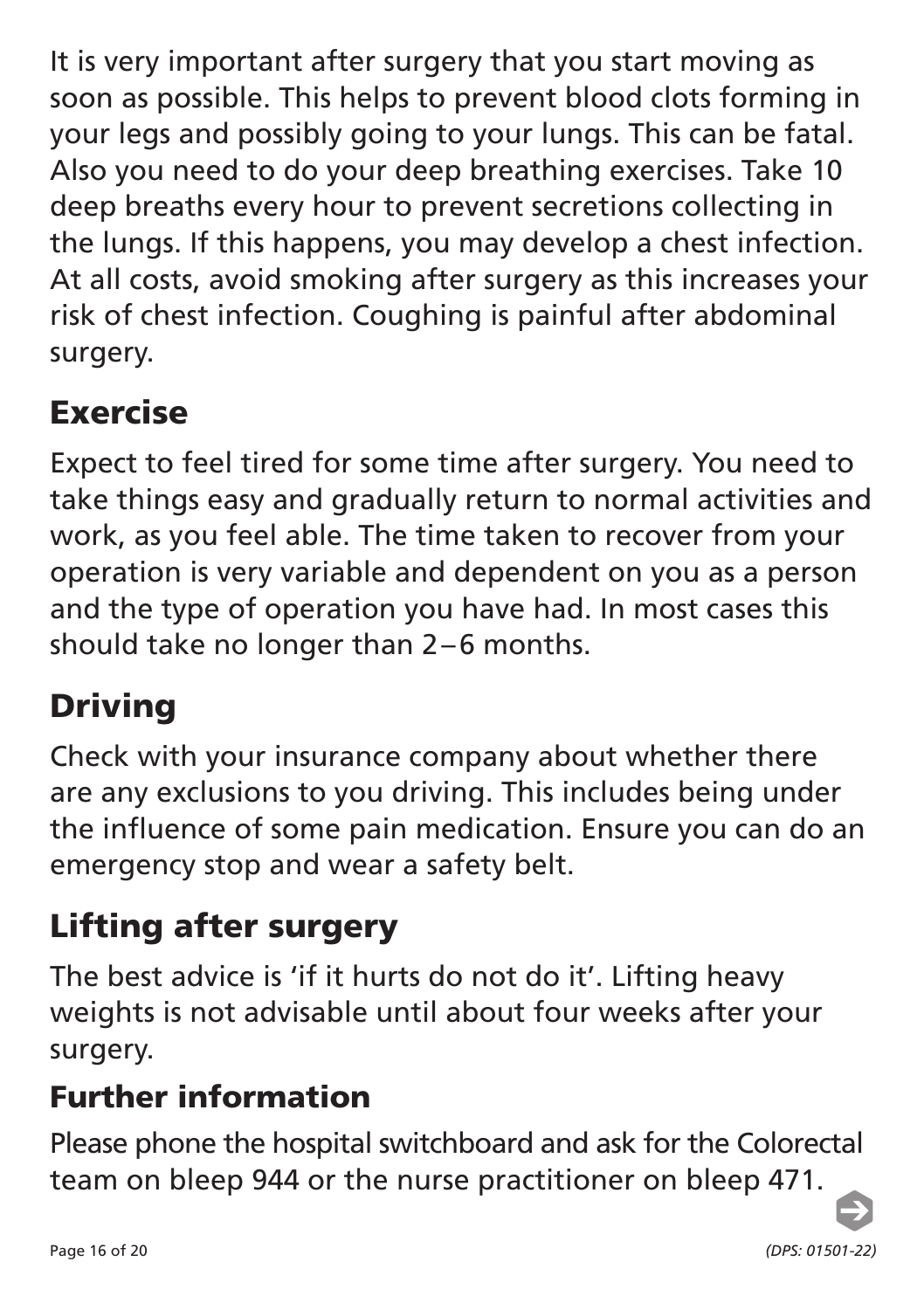It is very important after surgery that you start moving as soon as possible. This helps to prevent blood clots forming in your legs and possibly going to your lungs. This can be fatal. Also you need to do your deep breathing exercises. Take 10 deep breaths every hour to prevent secretions collecting in the lungs. If this happens, you may develop a chest infection. At all costs, avoid smoking after surgery as this increases your risk of chest infection. Coughing is painful after abdominal surgery.

## Exercise

Expect to feel tired for some time after surgery. You need to take things easy and gradually return to normal activities and work, as you feel able. The time taken to recover from your operation is very variable and dependent on you as a person and the type of operation you have had. In most cases this should take no longer than 2–6 months.

## Driving

Check with your insurance company about whether there are any exclusions to you driving. This includes being under the influence of some pain medication. Ensure you can do an emergency stop and wear a safety belt.

## Lifting after surgery

The best advice is 'if it hurts do not do it'. Lifting heavy weights is not advisable until about four weeks after your surgery.

#### Further information

Please phone the hospital switchboard and ask for the Colorectal team on bleep 944 or the nurse practitioner on bleep 471.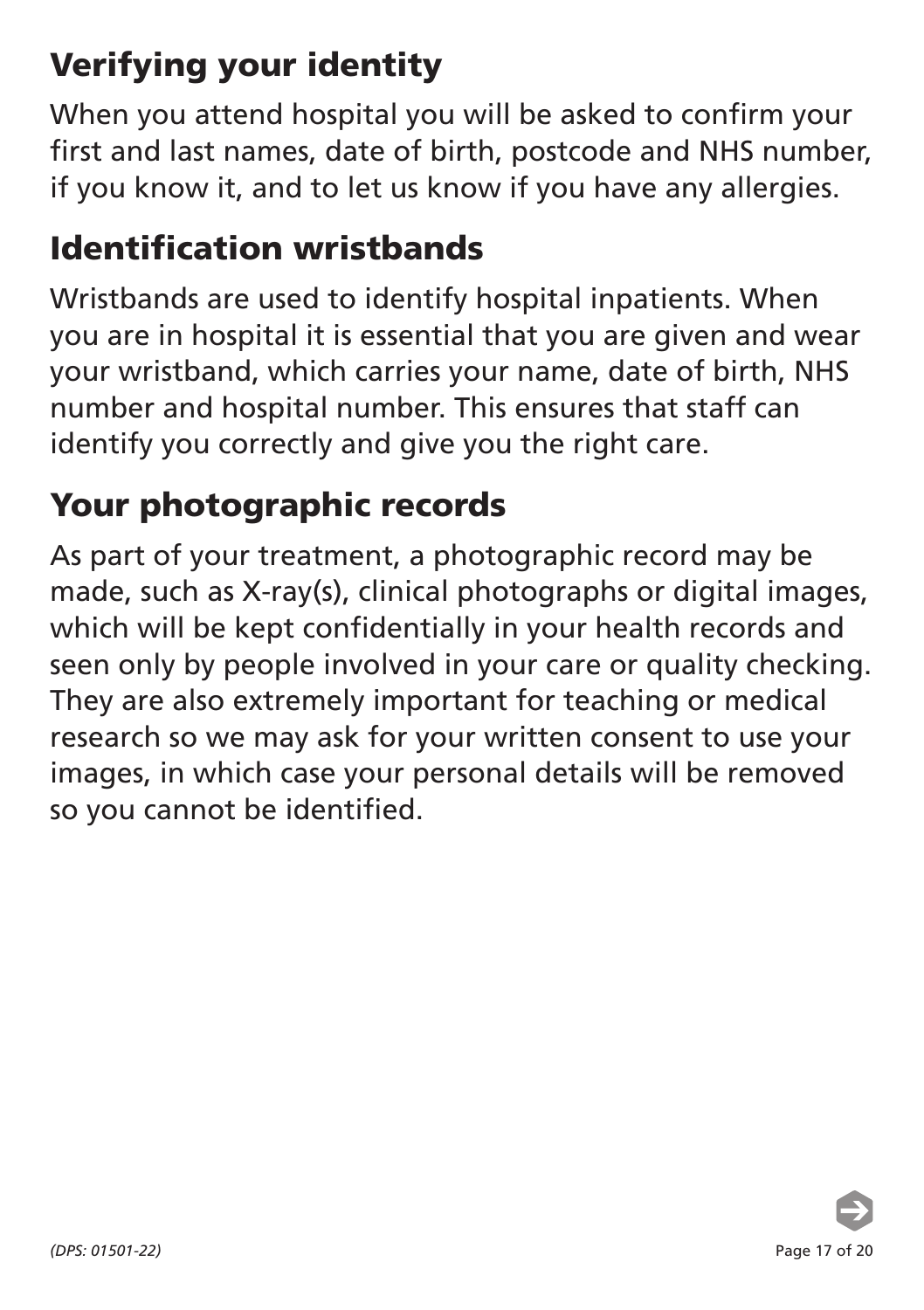## Verifying your identity

When you attend hospital you will be asked to confirm your first and last names, date of birth, postcode and NHS number, if you know it, and to let us know if you have any allergies.

#### Identification wristbands

Wristbands are used to identify hospital inpatients. When you are in hospital it is essential that you are given and wear your wristband, which carries your name, date of birth, NHS number and hospital number. This ensures that staff can identify you correctly and give you the right care.

#### Your photographic records

As part of your treatment, a photographic record may be made, such as X-ray(s), clinical photographs or digital images, which will be kept confidentially in your health records and seen only by people involved in your care or quality checking. They are also extremely important for teaching or medical research so we may ask for your written consent to use your images, in which case your personal details will be removed so you cannot be identified.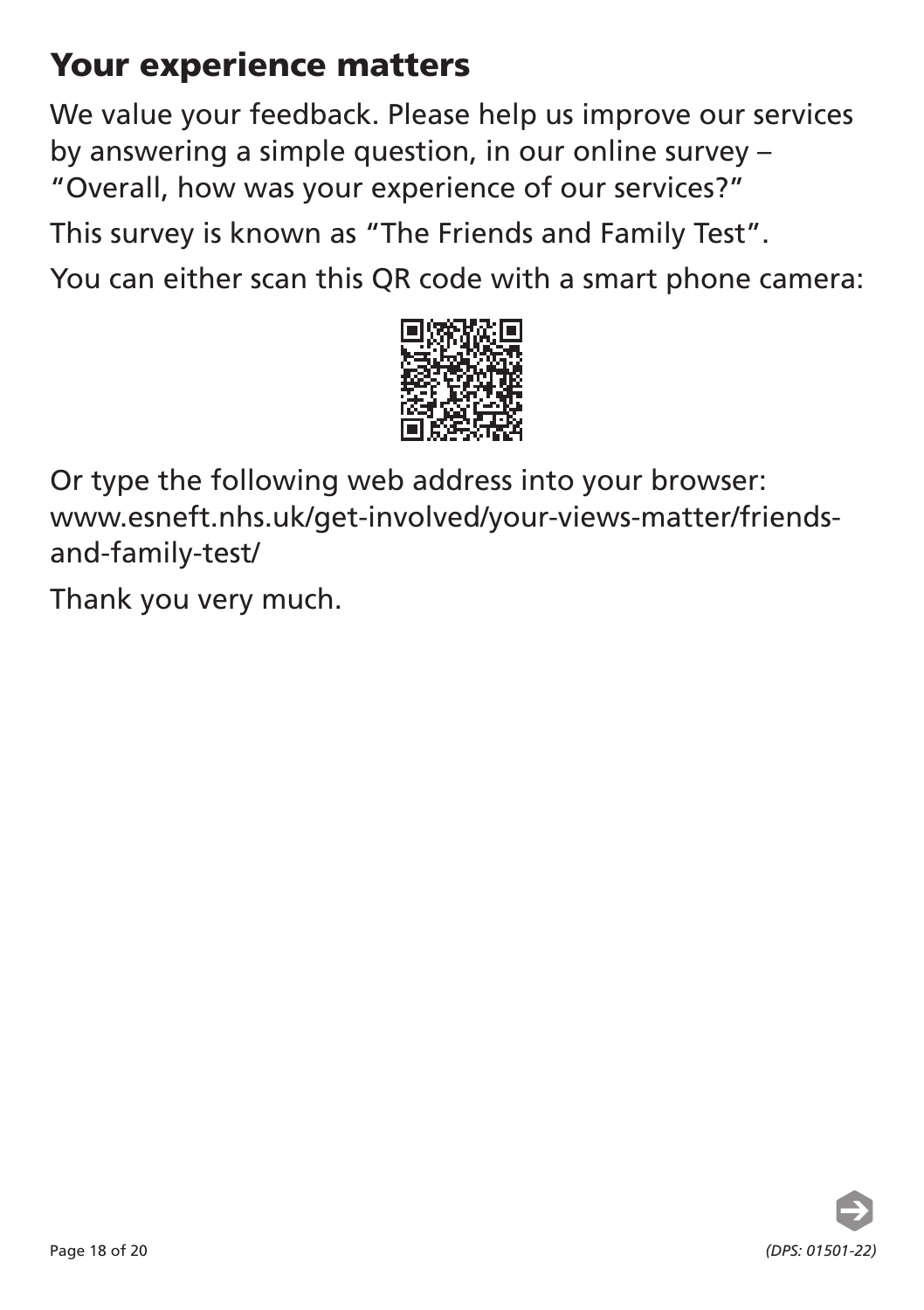#### Your experience matters

We value your feedback. Please help us improve our services by answering a simple question, in our online survey – "Overall, how was your experience of our services?"

This survey is known as "The Friends and Family Test".

You can either scan this QR code with a smart phone camera:



Or type the following web address into your browser: www.esneft.nhs.uk/get-involved/your-views-matter/friendsand-family-test/

Thank you very much.

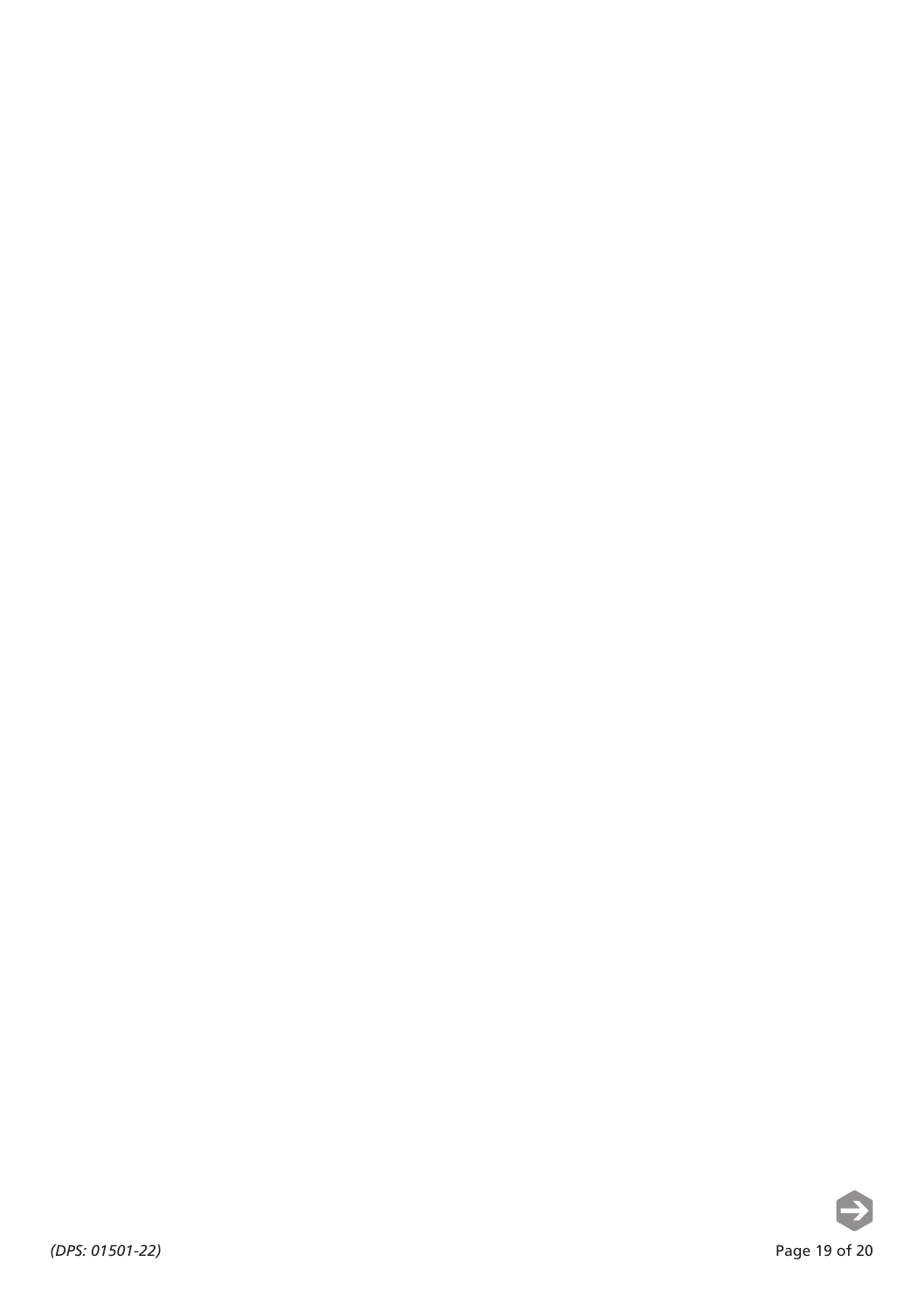